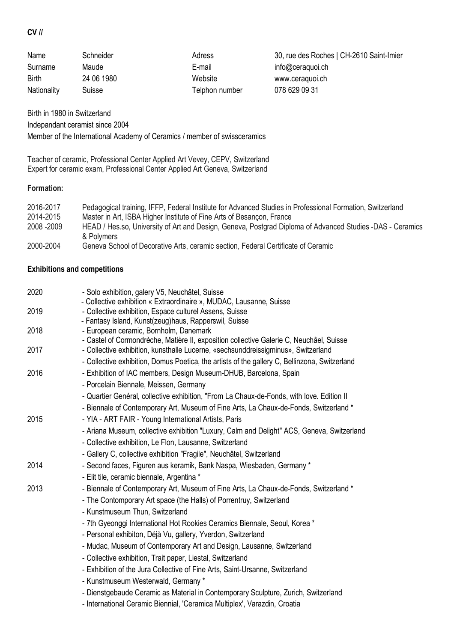## **CV //**

| Name         | Schneider  | Adress         | 30, rue des Roches   CH-2610 Saint-Imier |
|--------------|------------|----------------|------------------------------------------|
| Surname      | Maude      | E-mail         | info@ceraquoi.ch                         |
| <b>Birth</b> | 24 06 1980 | Website        | www.ceraguoi.ch                          |
| Nationality  | Suisse     | Telphon number | 078 629 09 31                            |

Birth in 1980 in Switzerland Indepandant ceramist since 2004 Member of the International Academy of Ceramics / member of swissceramics

Teacher of ceramic, Professional Center Applied Art Vevey, CEPV, Switzerland Expert for ceramic exam, Professional Center Applied Art Geneva, Switzerland

## **Formation:**

| 2016-2017<br>2014-2015 | Pedagogical training, IFFP, Federal Institute for Advanced Studies in Professional Formation, Switzerland<br>Master in Art, ISBA Higher Institute of Fine Arts of Besançon, France |
|------------------------|------------------------------------------------------------------------------------------------------------------------------------------------------------------------------------|
| 2008 - 2009            | HEAD / Hes.so, University of Art and Design, Geneva, Postgrad Diploma of Advanced Studies -DAS - Ceramics                                                                          |
| 2000-2004              | & Polymers<br>Geneva School of Decorative Arts, ceramic section, Federal Certificate of Ceramic                                                                                    |

## **Exhibitions and competitions**

| 2020 | - Solo exhibition, galery V5, Neuchâtel, Suisse                                                                                   |  |
|------|-----------------------------------------------------------------------------------------------------------------------------------|--|
|      | - Collective exhibition « Extraordinaire », MUDAC, Lausanne, Suisse                                                               |  |
| 2019 | - Collective exhibition, Espace culturel Assens, Suisse                                                                           |  |
|      | - Fantasy Island, Kunst(zeug)haus, Rapperswil, Suisse                                                                             |  |
| 2018 | - European ceramic, Bornholm, Danemark<br>- Castel of Cormondrèche, Matière II, exposition collective Galerie C, Neuchâel, Suisse |  |
| 2017 | - Collective exhibition, kunsthalle Lucerne, «sechsunddreissigminus», Switzerland                                                 |  |
|      | - Collective exhibition, Domus Poetica, the artists of the gallery C, Bellinzona, Switzerland                                     |  |
| 2016 | - Exhibition of IAC members, Design Museum-DHUB, Barcelona, Spain                                                                 |  |
|      | - Porcelain Biennale, Meissen, Germany                                                                                            |  |
|      | - Quartier Genéral, collective exhibition, "From La Chaux-de-Fonds, with love. Edition II                                         |  |
|      | - Biennale of Contemporary Art, Museum of Fine Arts, La Chaux-de-Fonds, Switzerland *                                             |  |
| 2015 | - YIA - ART FAIR - Young International Artists, Paris                                                                             |  |
|      | - Ariana Museum, collective exhibition "Luxury, Calm and Delight" ACS, Geneva, Switzerland                                        |  |
|      | - Collective exhibition, Le Flon, Lausanne, Switzerland                                                                           |  |
|      | - Gallery C, collective exhibition "Fragile", Neuchâtel, Switzerland                                                              |  |
| 2014 | - Second faces, Figuren aus keramik, Bank Naspa, Wiesbaden, Germany *                                                             |  |
|      | - Elit tile, ceramic biennale, Argentina *                                                                                        |  |
| 2013 | - Biennale of Contemporary Art, Museum of Fine Arts, La Chaux-de-Fonds, Switzerland *                                             |  |
|      | - The Contomporary Art space (the Halls) of Porrentruy, Switzerland                                                               |  |
|      | - Kunstmuseum Thun, Switzerland                                                                                                   |  |
|      | - 7th Gyeonggi International Hot Rookies Ceramics Biennale, Seoul, Korea *                                                        |  |
|      | - Personal exhibiton, Déjà Vu, gallery, Yverdon, Switzerland                                                                      |  |
|      | - Mudac, Museum of Contemporary Art and Design, Lausanne, Switzerland                                                             |  |
|      | - Collective exhibition, Trait paper, Liestal, Switzerland                                                                        |  |
|      | - Exhibition of the Jura Collective of Fine Arts, Saint-Ursanne, Switzerland                                                      |  |
|      | - Kunstmuseum Westerwald, Germany*                                                                                                |  |
|      | - Dienstgebaude Ceramic as Material in Contemporary Sculpture, Zurich, Switzerland                                                |  |
|      | - International Ceramic Biennial, 'Ceramica Multiplex', Varazdin, Croatia                                                         |  |